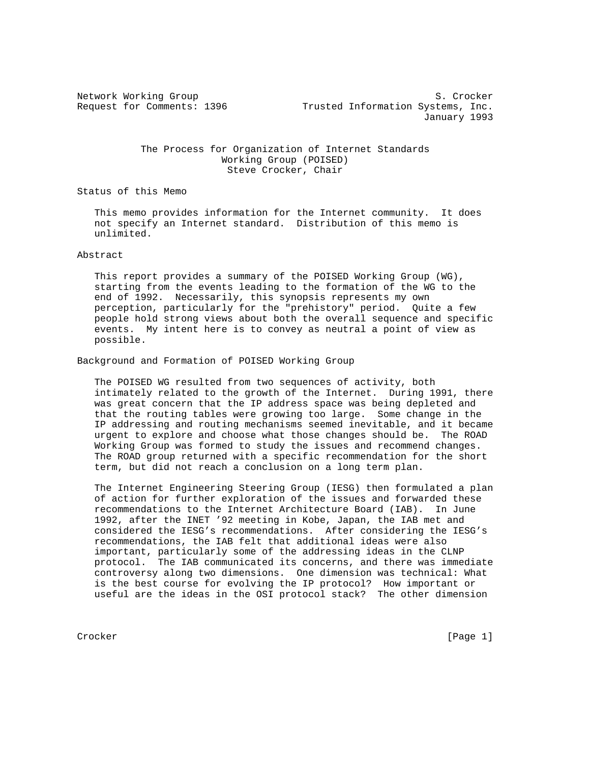Network Working Group S. Crocker Request for Comments: 1396 Trusted Information Systems, Inc. January 1993

## The Process for Organization of Internet Standards Working Group (POISED) Steve Crocker, Chair

Status of this Memo

 This memo provides information for the Internet community. It does not specify an Internet standard. Distribution of this memo is unlimited.

Abstract

 This report provides a summary of the POISED Working Group (WG), starting from the events leading to the formation of the WG to the end of 1992. Necessarily, this synopsis represents my own perception, particularly for the "prehistory" period. Quite a few people hold strong views about both the overall sequence and specific events. My intent here is to convey as neutral a point of view as possible.

Background and Formation of POISED Working Group

 The POISED WG resulted from two sequences of activity, both intimately related to the growth of the Internet. During 1991, there was great concern that the IP address space was being depleted and that the routing tables were growing too large. Some change in the IP addressing and routing mechanisms seemed inevitable, and it became urgent to explore and choose what those changes should be. The ROAD Working Group was formed to study the issues and recommend changes. The ROAD group returned with a specific recommendation for the short term, but did not reach a conclusion on a long term plan.

 The Internet Engineering Steering Group (IESG) then formulated a plan of action for further exploration of the issues and forwarded these recommendations to the Internet Architecture Board (IAB). In June 1992, after the INET '92 meeting in Kobe, Japan, the IAB met and considered the IESG's recommendations. After considering the IESG's recommendations, the IAB felt that additional ideas were also important, particularly some of the addressing ideas in the CLNP protocol. The IAB communicated its concerns, and there was immediate controversy along two dimensions. One dimension was technical: What is the best course for evolving the IP protocol? How important or useful are the ideas in the OSI protocol stack? The other dimension

Crocker [Page 1]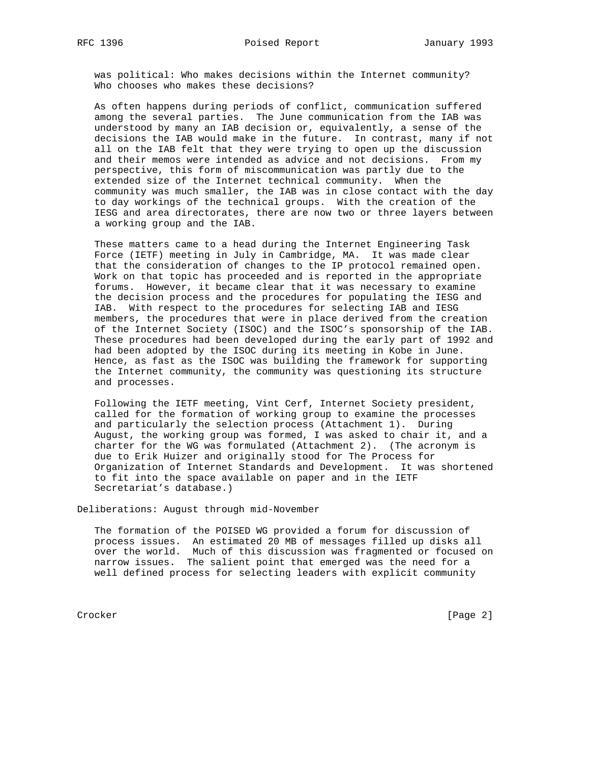was political: Who makes decisions within the Internet community? Who chooses who makes these decisions?

 As often happens during periods of conflict, communication suffered among the several parties. The June communication from the IAB was understood by many an IAB decision or, equivalently, a sense of the decisions the IAB would make in the future. In contrast, many if not all on the IAB felt that they were trying to open up the discussion and their memos were intended as advice and not decisions. From my perspective, this form of miscommunication was partly due to the extended size of the Internet technical community. When the community was much smaller, the IAB was in close contact with the day to day workings of the technical groups. With the creation of the IESG and area directorates, there are now two or three layers between a working group and the IAB.

 These matters came to a head during the Internet Engineering Task Force (IETF) meeting in July in Cambridge, MA. It was made clear that the consideration of changes to the IP protocol remained open. Work on that topic has proceeded and is reported in the appropriate forums. However, it became clear that it was necessary to examine the decision process and the procedures for populating the IESG and IAB. With respect to the procedures for selecting IAB and IESG members, the procedures that were in place derived from the creation of the Internet Society (ISOC) and the ISOC's sponsorship of the IAB. These procedures had been developed during the early part of 1992 and had been adopted by the ISOC during its meeting in Kobe in June. Hence, as fast as the ISOC was building the framework for supporting the Internet community, the community was questioning its structure and processes.

 Following the IETF meeting, Vint Cerf, Internet Society president, called for the formation of working group to examine the processes and particularly the selection process (Attachment 1). During August, the working group was formed, I was asked to chair it, and a charter for the WG was formulated (Attachment 2). (The acronym is due to Erik Huizer and originally stood for The Process for Organization of Internet Standards and Development. It was shortened to fit into the space available on paper and in the IETF Secretariat's database.)

Deliberations: August through mid-November

 The formation of the POISED WG provided a forum for discussion of process issues. An estimated 20 MB of messages filled up disks all over the world. Much of this discussion was fragmented or focused on narrow issues. The salient point that emerged was the need for a well defined process for selecting leaders with explicit community

Crocker [Page 2]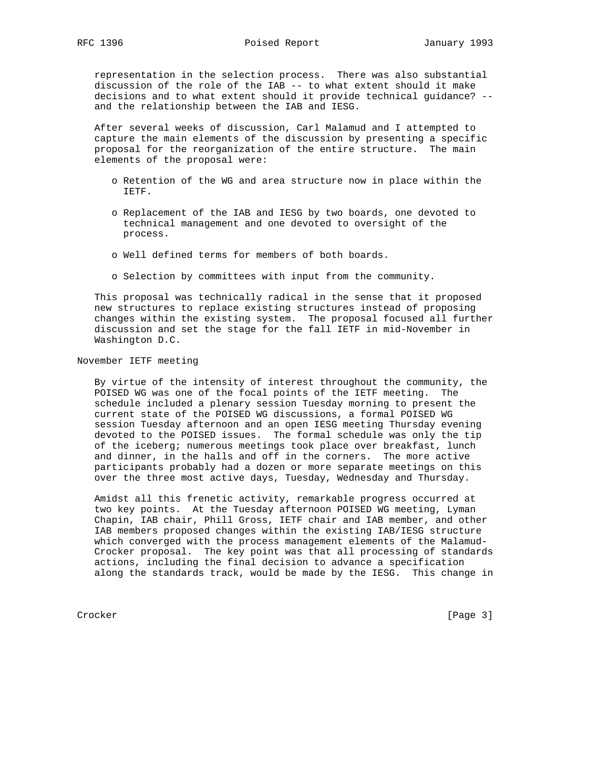representation in the selection process. There was also substantial discussion of the role of the IAB -- to what extent should it make decisions and to what extent should it provide technical guidance? - and the relationship between the IAB and IESG.

 After several weeks of discussion, Carl Malamud and I attempted to capture the main elements of the discussion by presenting a specific proposal for the reorganization of the entire structure. The main elements of the proposal were:

- o Retention of the WG and area structure now in place within the IETF.
- o Replacement of the IAB and IESG by two boards, one devoted to technical management and one devoted to oversight of the process.
- o Well defined terms for members of both boards.
- o Selection by committees with input from the community.

 This proposal was technically radical in the sense that it proposed new structures to replace existing structures instead of proposing changes within the existing system. The proposal focused all further discussion and set the stage for the fall IETF in mid-November in Washington D.C.

## November IETF meeting

 By virtue of the intensity of interest throughout the community, the POISED WG was one of the focal points of the IETF meeting. The schedule included a plenary session Tuesday morning to present the current state of the POISED WG discussions, a formal POISED WG session Tuesday afternoon and an open IESG meeting Thursday evening devoted to the POISED issues. The formal schedule was only the tip of the iceberg; numerous meetings took place over breakfast, lunch and dinner, in the halls and off in the corners. The more active participants probably had a dozen or more separate meetings on this over the three most active days, Tuesday, Wednesday and Thursday.

 Amidst all this frenetic activity, remarkable progress occurred at two key points. At the Tuesday afternoon POISED WG meeting, Lyman Chapin, IAB chair, Phill Gross, IETF chair and IAB member, and other IAB members proposed changes within the existing IAB/IESG structure which converged with the process management elements of the Malamud- Crocker proposal. The key point was that all processing of standards actions, including the final decision to advance a specification along the standards track, would be made by the IESG. This change in

Crocker [Page 3]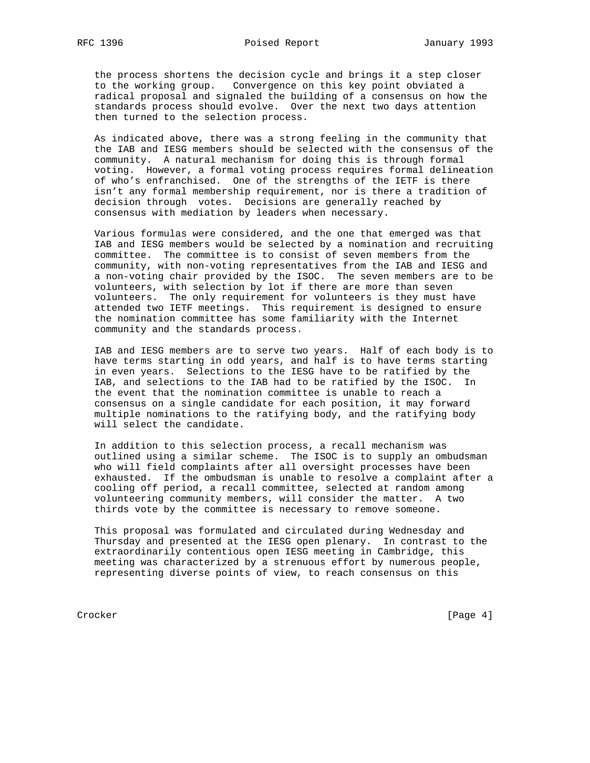the process shortens the decision cycle and brings it a step closer to the working group. Convergence on this key point obviated a radical proposal and signaled the building of a consensus on how the standards process should evolve. Over the next two days attention then turned to the selection process.

 As indicated above, there was a strong feeling in the community that the IAB and IESG members should be selected with the consensus of the community. A natural mechanism for doing this is through formal voting. However, a formal voting process requires formal delineation of who's enfranchised. One of the strengths of the IETF is there isn't any formal membership requirement, nor is there a tradition of decision through votes. Decisions are generally reached by consensus with mediation by leaders when necessary.

 Various formulas were considered, and the one that emerged was that IAB and IESG members would be selected by a nomination and recruiting committee. The committee is to consist of seven members from the community, with non-voting representatives from the IAB and IESG and a non-voting chair provided by the ISOC. The seven members are to be volunteers, with selection by lot if there are more than seven volunteers. The only requirement for volunteers is they must have attended two IETF meetings. This requirement is designed to ensure the nomination committee has some familiarity with the Internet community and the standards process.

 IAB and IESG members are to serve two years. Half of each body is to have terms starting in odd years, and half is to have terms starting in even years. Selections to the IESG have to be ratified by the IAB, and selections to the IAB had to be ratified by the ISOC. In the event that the nomination committee is unable to reach a consensus on a single candidate for each position, it may forward multiple nominations to the ratifying body, and the ratifying body will select the candidate.

 In addition to this selection process, a recall mechanism was outlined using a similar scheme. The ISOC is to supply an ombudsman who will field complaints after all oversight processes have been exhausted. If the ombudsman is unable to resolve a complaint after a cooling off period, a recall committee, selected at random among volunteering community members, will consider the matter. A two thirds vote by the committee is necessary to remove someone.

 This proposal was formulated and circulated during Wednesday and Thursday and presented at the IESG open plenary. In contrast to the extraordinarily contentious open IESG meeting in Cambridge, this meeting was characterized by a strenuous effort by numerous people, representing diverse points of view, to reach consensus on this

Crocker [Page 4]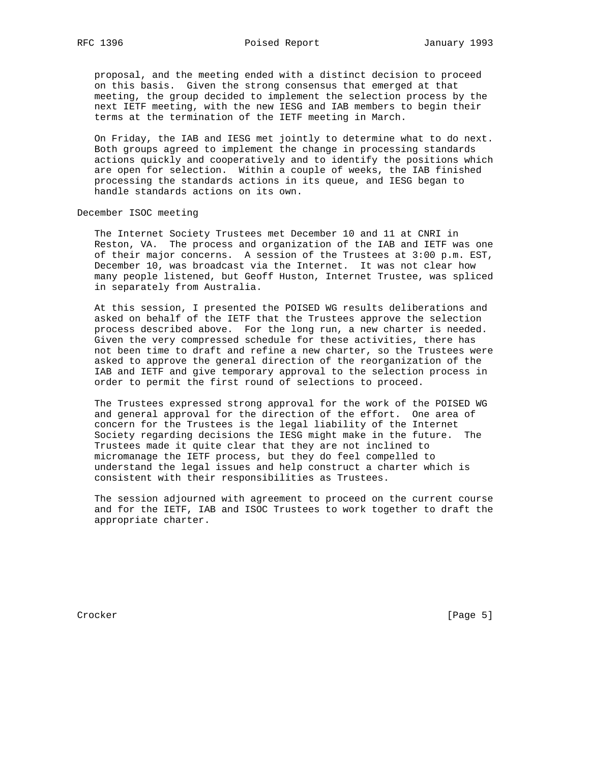proposal, and the meeting ended with a distinct decision to proceed on this basis. Given the strong consensus that emerged at that meeting, the group decided to implement the selection process by the next IETF meeting, with the new IESG and IAB members to begin their terms at the termination of the IETF meeting in March.

 On Friday, the IAB and IESG met jointly to determine what to do next. Both groups agreed to implement the change in processing standards actions quickly and cooperatively and to identify the positions which are open for selection. Within a couple of weeks, the IAB finished processing the standards actions in its queue, and IESG began to handle standards actions on its own.

December ISOC meeting

 The Internet Society Trustees met December 10 and 11 at CNRI in Reston, VA. The process and organization of the IAB and IETF was one of their major concerns. A session of the Trustees at 3:00 p.m. EST, December 10, was broadcast via the Internet. It was not clear how many people listened, but Geoff Huston, Internet Trustee, was spliced in separately from Australia.

 At this session, I presented the POISED WG results deliberations and asked on behalf of the IETF that the Trustees approve the selection process described above. For the long run, a new charter is needed. Given the very compressed schedule for these activities, there has not been time to draft and refine a new charter, so the Trustees were asked to approve the general direction of the reorganization of the IAB and IETF and give temporary approval to the selection process in order to permit the first round of selections to proceed.

 The Trustees expressed strong approval for the work of the POISED WG and general approval for the direction of the effort. One area of concern for the Trustees is the legal liability of the Internet Society regarding decisions the IESG might make in the future. The Trustees made it quite clear that they are not inclined to micromanage the IETF process, but they do feel compelled to understand the legal issues and help construct a charter which is consistent with their responsibilities as Trustees.

 The session adjourned with agreement to proceed on the current course and for the IETF, IAB and ISOC Trustees to work together to draft the appropriate charter.

Crocker [Page 5]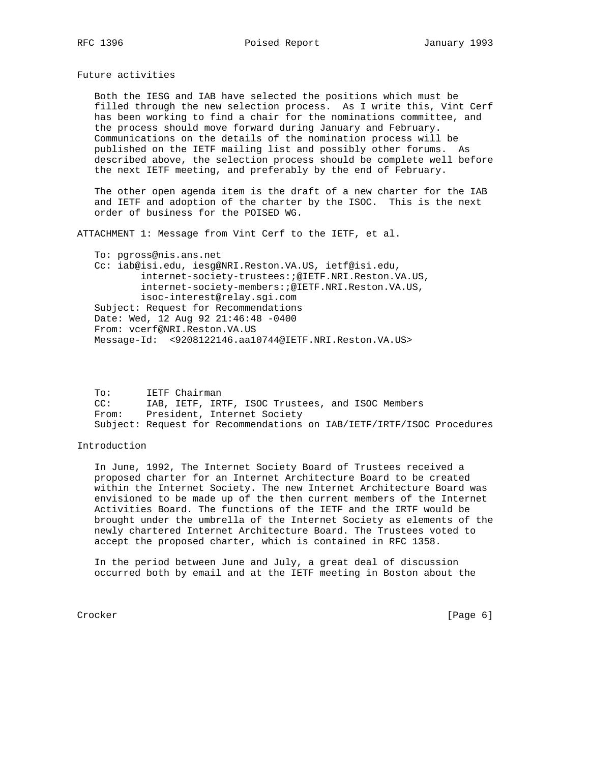Future activities

 Both the IESG and IAB have selected the positions which must be filled through the new selection process. As I write this, Vint Cerf has been working to find a chair for the nominations committee, and the process should move forward during January and February. Communications on the details of the nomination process will be published on the IETF mailing list and possibly other forums. As described above, the selection process should be complete well before the next IETF meeting, and preferably by the end of February.

 The other open agenda item is the draft of a new charter for the IAB and IETF and adoption of the charter by the ISOC. This is the next order of business for the POISED WG.

ATTACHMENT 1: Message from Vint Cerf to the IETF, et al.

 To: pgross@nis.ans.net Cc: iab@isi.edu, iesg@NRI.Reston.VA.US, ietf@isi.edu, internet-society-trustees:;@IETF.NRI.Reston.VA.US, internet-society-members:;@IETF.NRI.Reston.VA.US, isoc-interest@relay.sgi.com Subject: Request for Recommendations Date: Wed, 12 Aug 92 21:46:48 -0400 From: vcerf@NRI.Reston.VA.US Message-Id: <9208122146.aa10744@IETF.NRI.Reston.VA.US>

 To: IETF Chairman CC: IAB, IETF, IRTF, ISOC Trustees, and ISOC Members From: President, Internet Society Subject: Request for Recommendations on IAB/IETF/IRTF/ISOC Procedures

## Introduction

 In June, 1992, The Internet Society Board of Trustees received a proposed charter for an Internet Architecture Board to be created within the Internet Society. The new Internet Architecture Board was envisioned to be made up of the then current members of the Internet Activities Board. The functions of the IETF and the IRTF would be brought under the umbrella of the Internet Society as elements of the newly chartered Internet Architecture Board. The Trustees voted to accept the proposed charter, which is contained in RFC 1358.

 In the period between June and July, a great deal of discussion occurred both by email and at the IETF meeting in Boston about the

Crocker [Page 6]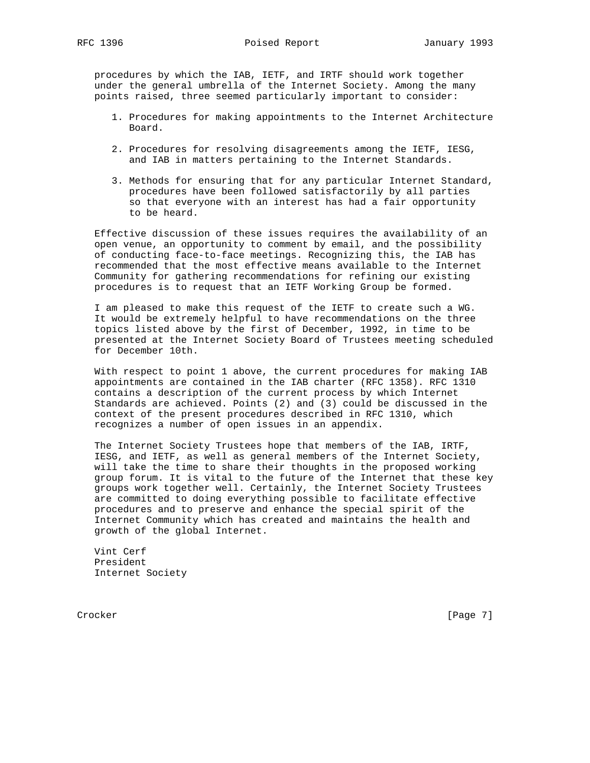procedures by which the IAB, IETF, and IRTF should work together under the general umbrella of the Internet Society. Among the many points raised, three seemed particularly important to consider:

- 1. Procedures for making appointments to the Internet Architecture Board.
- 2. Procedures for resolving disagreements among the IETF, IESG, and IAB in matters pertaining to the Internet Standards.
- 3. Methods for ensuring that for any particular Internet Standard, procedures have been followed satisfactorily by all parties so that everyone with an interest has had a fair opportunity to be heard.

 Effective discussion of these issues requires the availability of an open venue, an opportunity to comment by email, and the possibility of conducting face-to-face meetings. Recognizing this, the IAB has recommended that the most effective means available to the Internet Community for gathering recommendations for refining our existing procedures is to request that an IETF Working Group be formed.

 I am pleased to make this request of the IETF to create such a WG. It would be extremely helpful to have recommendations on the three topics listed above by the first of December, 1992, in time to be presented at the Internet Society Board of Trustees meeting scheduled for December 10th.

 With respect to point 1 above, the current procedures for making IAB appointments are contained in the IAB charter (RFC 1358). RFC 1310 contains a description of the current process by which Internet Standards are achieved. Points (2) and (3) could be discussed in the context of the present procedures described in RFC 1310, which recognizes a number of open issues in an appendix.

 The Internet Society Trustees hope that members of the IAB, IRTF, IESG, and IETF, as well as general members of the Internet Society, will take the time to share their thoughts in the proposed working group forum. It is vital to the future of the Internet that these key groups work together well. Certainly, the Internet Society Trustees are committed to doing everything possible to facilitate effective procedures and to preserve and enhance the special spirit of the Internet Community which has created and maintains the health and growth of the global Internet.

 Vint Cerf President Internet Society

Crocker [Page 7]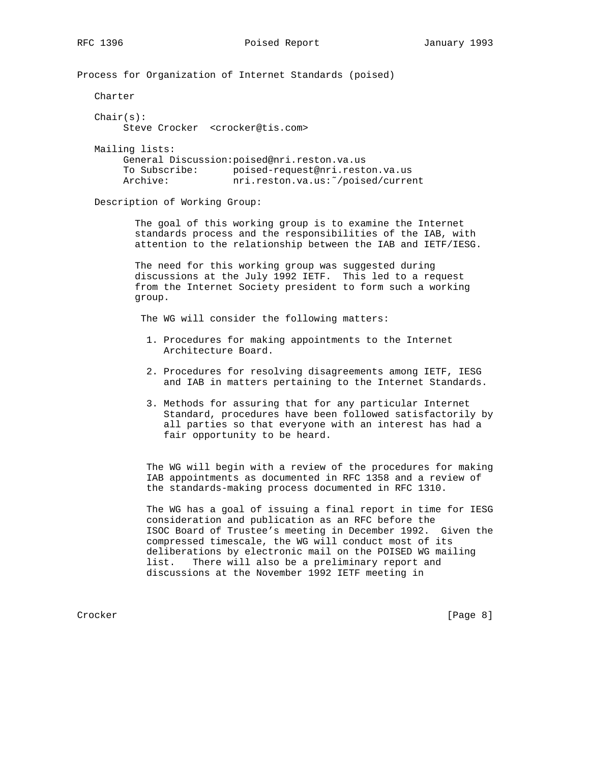Process for Organization of Internet Standards (poised)

Charter

 $Chair(s):$ Steve Crocker <crocker@tis.com>

 Mailing lists: General Discussion:poised@nri.reston.va.us To Subscribe: poised-request@nri.reston.va.us Archive: nri.reston.va.us:~/poised/current

Description of Working Group:

 The goal of this working group is to examine the Internet standards process and the responsibilities of the IAB, with attention to the relationship between the IAB and IETF/IESG.

 The need for this working group was suggested during discussions at the July 1992 IETF. This led to a request from the Internet Society president to form such a working group.

The WG will consider the following matters:

- 1. Procedures for making appointments to the Internet Architecture Board.
- 2. Procedures for resolving disagreements among IETF, IESG and IAB in matters pertaining to the Internet Standards.
- 3. Methods for assuring that for any particular Internet Standard, procedures have been followed satisfactorily by all parties so that everyone with an interest has had a fair opportunity to be heard.

 The WG will begin with a review of the procedures for making IAB appointments as documented in RFC 1358 and a review of the standards-making process documented in RFC 1310.

 The WG has a goal of issuing a final report in time for IESG consideration and publication as an RFC before the ISOC Board of Trustee's meeting in December 1992. Given the compressed timescale, the WG will conduct most of its deliberations by electronic mail on the POISED WG mailing list. There will also be a preliminary report and discussions at the November 1992 IETF meeting in

Crocker [Page 8]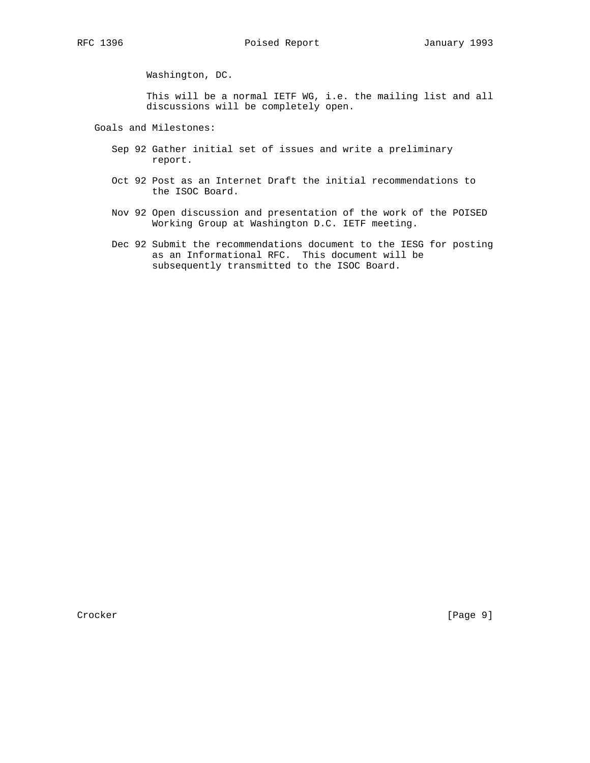Washington, DC.

 This will be a normal IETF WG, i.e. the mailing list and all discussions will be completely open.

Goals and Milestones:

- Sep 92 Gather initial set of issues and write a preliminary report.
- Oct 92 Post as an Internet Draft the initial recommendations to the ISOC Board.
- Nov 92 Open discussion and presentation of the work of the POISED Working Group at Washington D.C. IETF meeting.
- Dec 92 Submit the recommendations document to the IESG for posting as an Informational RFC. This document will be subsequently transmitted to the ISOC Board.

Crocker [Page 9]